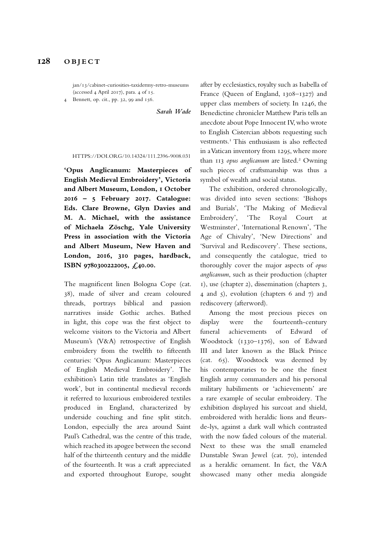jan/13/cabinet-curiosities-taxidermy-retro-museums (accessed 4 April 2017), para. 4 of 15. Bennett, op. cit., pp. 32, 99 and 156.

*Sarah Wade*

## HTTPS://DOI.ORG/10.14324/111.2396-9008.031

**'Opus Anglicanum: Masterpieces of English Medieval Embroidery', Victoria and Albert Museum, London, 1 October 2016 – 5 February 2017. Catalogue: Eds. Clare Browne, Glyn Davies and M. A. Michael, with the assistance of Michaela Zöschg, Yale University Press in association with the Victoria and Albert Museum, New Haven and London, 2016, 310 pages, hardback, ISBN 9780300222005, £40.00.**

The magnifcent linen Bologna Cope (cat. 38), made of silver and cream coloured threads, portrays biblical and passion narratives inside Gothic arches. Bathed in light, this cope was the frst object to welcome visitors to the Victoria and Albert Museum's (V&A) retrospective of English embroidery from the twelfth to ffteenth centuries: 'Opus Anglicanum: Masterpieces of English Medieval Embroidery'. The exhibition's Latin title translates as 'English work', but in continental medieval records it referred to luxurious embroidered textiles produced in England, characterized by underside couching and fne split stitch. London, especially the area around Saint Paul's Cathedral, was the centre of this trade, which reached its apogee between the second half of the thirteenth century and the middle of the fourteenth. It was a craft appreciated and exported throughout Europe, sought

after by ecclesiastics, royalty such as Isabella of France (Queen of England, 1308–1327) and upper class members of society. In 1246, the Benedictine chronicler Matthew Paris tells an anecdote about Pope Innocent IV, who wrote to English Cistercian abbots requesting such vestments.<sup>1</sup> This enthusiasm is also reflected in a Vatican inventory from 1295, where more than 113 opus anglicanum are listed.<sup>2</sup> Owning such pieces of craftsmanship was thus a symbol of wealth and social status.

The exhibition, ordered chronologically, was divided into seven sections: 'Bishops and Burials', 'The Making of Medieval Embroidery', 'The Royal Court at Westminster', 'International Renown', 'The Age of Chivalry', 'New Directions' and 'Survival and Rediscovery'. These sections, and consequently the catalogue, tried to thoroughly cover the major aspects of *opus anglicanum*, such as their production (chapter 1), use (chapter 2), dissemination (chapters 3, 4 and 5), evolution (chapters 6 and 7) and rediscovery (afterword).

Among the most precious pieces on display were the fourteenth-century funeral achievements of Edward of Woodstock (1330–1376), son of Edward III and later known as the Black Prince (cat. 65). Woodstock was deemed by his contemporaries to be one the fnest English army commanders and his personal military habiliments or 'achievements' are a rare example of secular embroidery. The exhibition displayed his surcoat and shield, embroidered with heraldic lions and feursde-lys, against a dark wall which contrasted with the now faded colours of the material. Next to these was the small enameled Dunstable Swan Jewel (cat. 70), intended as a heraldic ornament. In fact, the V&A showcased many other media alongside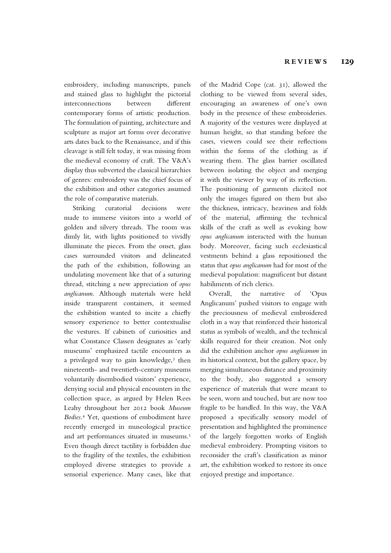embroidery, including manuscripts, panels and stained glass to highlight the pictorial interconnections between diferent contemporary forms of artistic production. The formulation of painting, architecture and sculpture as major art forms over decorative arts dates back to the Renaissance, and if this cleavage is still felt today, it was missing from the medieval economy of craft. The V&A's display thus subverted the classical hierarchies of genres: embroidery was the chief focus of the exhibition and other categories assumed the role of comparative materials.

Striking curatorial decisions were made to immerse visitors into a world of golden and silvery threads. The room was dimly lit, with lights positioned to vividly illuminate the pieces. From the onset, glass cases surrounded visitors and delineated the path of the exhibition, following an undulating movement like that of a suturing thread, stitching a new appreciation of *opus anglicanum*. Although materials were held inside transparent containers, it seemed the exhibition wanted to incite a chiefy sensory experience to better contextualise the vestures. If cabinets of curiosities and what Constance Classen designates as 'early museums' emphasized tactile encounters as a privileged way to gain knowledge,<sup>3</sup> then nineteenth- and twentieth-century museums voluntarily disembodied visitors' experience, denying social and physical encounters in the collection space, as argued by Helen Rees Leahy throughout her 2012 book *Museum Bodies*. 4 Yet, questions of embodiment have recently emerged in museological practice and art performances situated in museums.<sup>5</sup> Even though direct tactility is forbidden due to the fragility of the textiles, the exhibition employed diverse strategies to provide a sensorial experience. Many cases, like that

of the Madrid Cope (cat. 31), allowed the clothing to be viewed from several sides, encouraging an awareness of one's own body in the presence of these embroideries. A majority of the vestures were displayed at human height, so that standing before the cases, viewers could see their refections within the forms of the clothing as if wearing them. The glass barrier oscillated between isolating the object and merging it with the viewer by way of its refection. The positioning of garments elicited not only the images fgured on them but also the thickness, intricacy, heaviness and folds of the material, afrming the technical skills of the craft as well as evoking how *opus anglicanum* interacted with the human body. Moreover, facing such ecclesiastical vestments behind a glass repositioned the status that *opus anglicanum* had for most of the medieval population: magnifcent but distant habiliments of rich clerics.

Overall, the narrative of 'Opus Anglicanum' pushed visitors to engage with the preciousness of medieval embroidered cloth in a way that reinforced their historical status as symbols of wealth, and the technical skills required for their creation. Not only did the exhibition anchor *opus anglicanum* in its historical context, but the gallery space, by merging simultaneous distance and proximity to the body, also suggested a sensory experience of materials that were meant to be seen, worn and touched, but are now too fragile to be handled. In this way, the V&A proposed a specifcally sensory model of presentation and highlighted the prominence of the largely forgotten works of English medieval embroidery. Prompting visitors to reconsider the craft's classifcation as minor art, the exhibition worked to restore its once enjoyed prestige and importance.